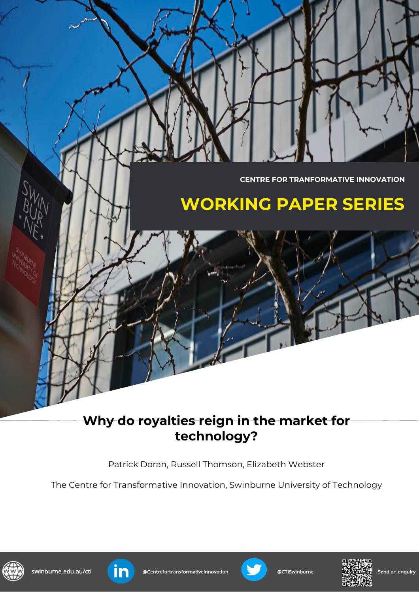**CENTRE FOR TRANFORMATIVE INNOVATION**

# **WORKING PAPER SERIES**

## **Why do royalties reign in the market for technology?**

Patrick Doran, Russell Thomson, Elizabeth Webster

The Centre for Transformative Innovation, Swinburne University of Technology









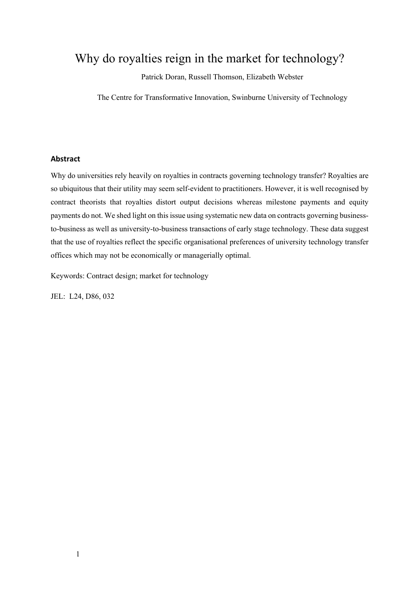## Why do royalties reign in the market for technology?

Patrick Doran, Russell Thomson, Elizabeth Webster

The Centre for Transformative Innovation, Swinburne University of Technology

#### **Abstract**

Why do universities rely heavily on royalties in contracts governing technology transfer? Royalties are so ubiquitous that their utility may seem self-evident to practitioners. However, it is well recognised by contract theorists that royalties distort output decisions whereas milestone payments and equity payments do not. We shed light on this issue using systematic new data on contracts governing businessto-business as well as university-to-business transactions of early stage technology. These data suggest that the use of royalties reflect the specific organisational preferences of university technology transfer offices which may not be economically or managerially optimal.

Keywords: Contract design; market for technology

JEL: L24, D86, 032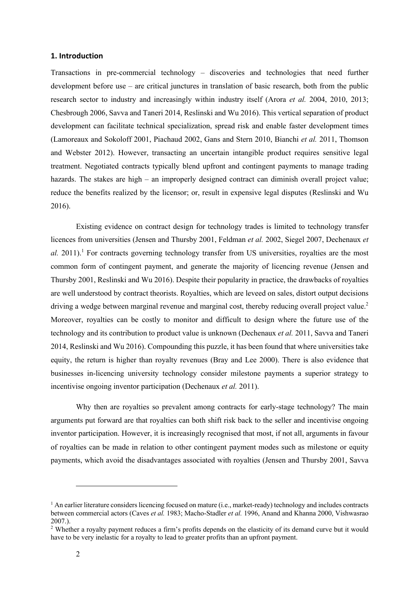#### **1. Introduction**

Transactions in pre-commercial technology – discoveries and technologies that need further development before use – are critical junctures in translation of basic research, both from the public research sector to industry and increasingly within industry itself (Arora *et al.* 2004, 2010, 2013; Chesbrough 2006, Savva and Taneri 2014, Reslinski and Wu 2016). This vertical separation of product development can facilitate technical specialization, spread risk and enable faster development times (Lamoreaux and Sokoloff 2001, Piachaud 2002, Gans and Stern 2010, Bianchi *et al.* 2011, Thomson and Webster 2012). However, transacting an uncertain intangible product requires sensitive legal treatment. Negotiated contracts typically blend upfront and contingent payments to manage trading hazards. The stakes are high – an improperly designed contract can diminish overall project value; reduce the benefits realized by the licensor; or, result in expensive legal disputes (Reslinski and Wu 2016).

Existing evidence on contract design for technology trades is limited to technology transfer licences from universities (Jensen and Thursby 2001, Feldman *et al.* 2002, Siegel 2007, Dechenaux *et al.* 2011).<sup>1</sup> For contracts governing technology transfer from US universities, royalties are the most common form of contingent payment, and generate the majority of licencing revenue (Jensen and Thursby 2001, Reslinski and Wu 2016). Despite their popularity in practice, the drawbacks of royalties are well understood by contract theorists. Royalties, which are leveed on sales, distort output decisions driving a wedge between marginal revenue and marginal cost, thereby reducing overall project value.<sup>2</sup> Moreover, royalties can be costly to monitor and difficult to design where the future use of the technology and its contribution to product value is unknown (Dechenaux *et al.* 2011, Savva and Taneri 2014, Reslinski and Wu 2016). Compounding this puzzle, it has been found that where universities take equity, the return is higher than royalty revenues (Bray and Lee 2000). There is also evidence that businesses in-licencing university technology consider milestone payments a superior strategy to incentivise ongoing inventor participation (Dechenaux *et al.* 2011).

Why then are royalties so prevalent among contracts for early-stage technology? The main arguments put forward are that royalties can both shift risk back to the seller and incentivise ongoing inventor participation. However, it is increasingly recognised that most, if not all, arguments in favour of royalties can be made in relation to other contingent payment modes such as milestone or equity payments, which avoid the disadvantages associated with royalties (Jensen and Thursby 2001, Savva

 $1$  An earlier literature considers licencing focused on mature (i.e., market-ready) technology and includes contracts between commercial actors (Caves *et al.* 1983; Macho-Stadler *et al.* 1996, Anand and Khanna 2000, Vishwasrao 2007.).

<sup>2</sup> Whether a royalty payment reduces a firm's profits depends on the elasticity of its demand curve but it would have to be very inelastic for a royalty to lead to greater profits than an upfront payment.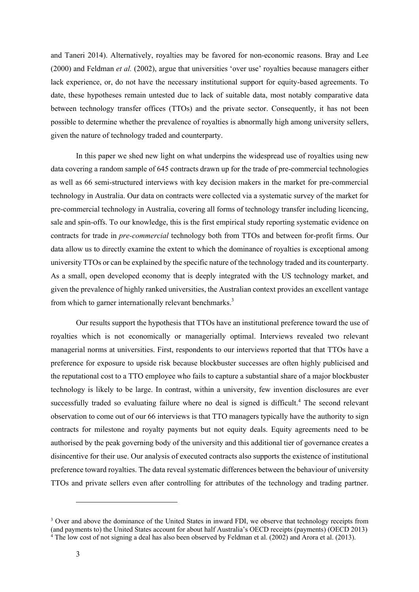and Taneri 2014). Alternatively, royalties may be favored for non-economic reasons. Bray and Lee (2000) and Feldman *et al.* (2002), argue that universities 'over use' royalties because managers either lack experience, or, do not have the necessary institutional support for equity-based agreements. To date, these hypotheses remain untested due to lack of suitable data, most notably comparative data between technology transfer offices (TTOs) and the private sector. Consequently, it has not been possible to determine whether the prevalence of royalties is abnormally high among university sellers, given the nature of technology traded and counterparty.

In this paper we shed new light on what underpins the widespread use of royalties using new data covering a random sample of 645 contracts drawn up for the trade of pre-commercial technologies as well as 66 semi-structured interviews with key decision makers in the market for pre-commercial technology in Australia. Our data on contracts were collected via a systematic survey of the market for pre-commercial technology in Australia, covering all forms of technology transfer including licencing, sale and spin-offs. To our knowledge, this is the first empirical study reporting systematic evidence on contracts for trade in *pre-commercial* technology both from TTOs and between for-profit firms. Our data allow us to directly examine the extent to which the dominance of royalties is exceptional among university TTOs or can be explained by the specific nature of the technology traded and its counterparty. As a small, open developed economy that is deeply integrated with the US technology market, and given the prevalence of highly ranked universities, the Australian context provides an excellent vantage from which to garner internationally relevant benchmarks.<sup>3</sup>

Our results support the hypothesis that TTOs have an institutional preference toward the use of royalties which is not economically or managerially optimal. Interviews revealed two relevant managerial norms at universities. First, respondents to our interviews reported that that TTOs have a preference for exposure to upside risk because blockbuster successes are often highly publicised and the reputational cost to a TTO employee who fails to capture a substantial share of a major blockbuster technology is likely to be large. In contrast, within a university, few invention disclosures are ever successfully traded so evaluating failure where no deal is signed is difficult.<sup>4</sup> The second relevant observation to come out of our 66 interviews is that TTO managers typically have the authority to sign contracts for milestone and royalty payments but not equity deals. Equity agreements need to be authorised by the peak governing body of the university and this additional tier of governance creates a disincentive for their use. Our analysis of executed contracts also supports the existence of institutional preference toward royalties. The data reveal systematic differences between the behaviour of university TTOs and private sellers even after controlling for attributes of the technology and trading partner.

<sup>&</sup>lt;sup>3</sup> Over and above the dominance of the United States in inward FDI, we observe that technology receipts from (and payments to) the United States account for about half Australia's OECD receipts (payments) (OECD 2013) <sup>4</sup> The low cost of not signing a deal has also been observed by Feldman et al. (2002) and Arora et al. (2013).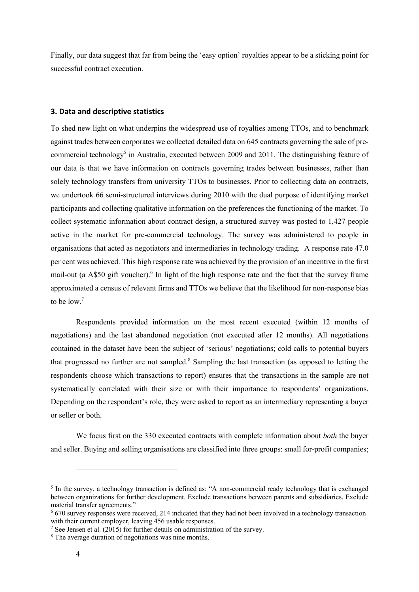Finally, our data suggest that far from being the 'easy option' royalties appear to be a sticking point for successful contract execution.

#### **3. Data and descriptive statistics**

To shed new light on what underpins the widespread use of royalties among TTOs, and to benchmark against trades between corporates we collected detailed data on 645 contracts governing the sale of precommercial technology<sup>5</sup> in Australia, executed between 2009 and 2011. The distinguishing feature of our data is that we have information on contracts governing trades between businesses, rather than solely technology transfers from university TTOs to businesses. Prior to collecting data on contracts, we undertook 66 semi-structured interviews during 2010 with the dual purpose of identifying market participants and collecting qualitative information on the preferences the functioning of the market. To collect systematic information about contract design, a structured survey was posted to 1,427 people active in the market for pre-commercial technology. The survey was administered to people in organisations that acted as negotiators and intermediaries in technology trading. A response rate 47.0 per cent was achieved. This high response rate was achieved by the provision of an incentive in the first mail-out (a A\$50 gift voucher).<sup>6</sup> In light of the high response rate and the fact that the survey frame approximated a census of relevant firms and TTOs we believe that the likelihood for non-response bias to be low.<sup>7</sup>

Respondents provided information on the most recent executed (within 12 months of negotiations) and the last abandoned negotiation (not executed after 12 months). All negotiations contained in the dataset have been the subject of 'serious' negotiations; cold calls to potential buyers that progressed no further are not sampled. <sup>8</sup> Sampling the last transaction (as opposed to letting the respondents choose which transactions to report) ensures that the transactions in the sample are not systematically correlated with their size or with their importance to respondents' organizations. Depending on the respondent's role, they were asked to report as an intermediary representing a buyer or seller or both.

We focus first on the 330 executed contracts with complete information about *both* the buyer and seller. Buying and selling organisations are classified into three groups: small for-profit companies;

<sup>5</sup> In the survey, a technology transaction is defined as: "A non-commercial ready technology that is exchanged between organizations for further development. Exclude transactions between parents and subsidiaries. Exclude material transfer agreements."

<sup>6</sup> 670 survey responses were received, 214 indicated that they had not been involved in a technology transaction with their current employer, leaving 456 usable responses.

<sup>&</sup>lt;sup>7</sup> See Jensen et al.  $(2015)$  for further details on administration of the survey.

<sup>&</sup>lt;sup>8</sup> The average duration of negotiations was nine months.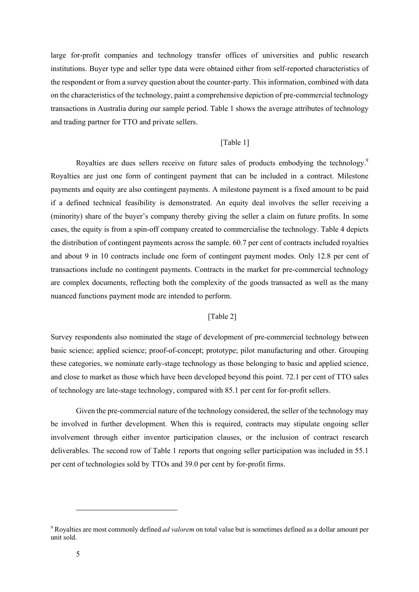large for-profit companies and technology transfer offices of universities and public research institutions. Buyer type and seller type data were obtained either from self-reported characteristics of the respondent or from a survey question about the counter-party. This information, combined with data on the characteristics of the technology, paint a comprehensive depiction of pre-commercial technology transactions in Australia during our sample period. Table 1 shows the average attributes of technology and trading partner for TTO and private sellers.

#### [Table 1]

Royalties are dues sellers receive on future sales of products embodying the technology.<sup>9</sup> Royalties are just one form of contingent payment that can be included in a contract. Milestone payments and equity are also contingent payments. A milestone payment is a fixed amount to be paid if a defined technical feasibility is demonstrated. An equity deal involves the seller receiving a (minority) share of the buyer's company thereby giving the seller a claim on future profits. In some cases, the equity is from a spin-off company created to commercialise the technology. Table 4 depicts the distribution of contingent payments across the sample. 60.7 per cent of contracts included royalties and about 9 in 10 contracts include one form of contingent payment modes. Only 12.8 per cent of transactions include no contingent payments. Contracts in the market for pre-commercial technology are complex documents, reflecting both the complexity of the goods transacted as well as the many nuanced functions payment mode are intended to perform.

#### [Table 2]

Survey respondents also nominated the stage of development of pre-commercial technology between basic science; applied science; proof-of-concept; prototype; pilot manufacturing and other. Grouping these categories, we nominate early-stage technology as those belonging to basic and applied science, and close to market as those which have been developed beyond this point. 72.1 per cent of TTO sales of technology are late-stage technology, compared with 85.1 per cent for for-profit sellers.

Given the pre-commercial nature of the technology considered, the seller of the technology may be involved in further development. When this is required, contracts may stipulate ongoing seller involvement through either inventor participation clauses, or the inclusion of contract research deliverables. The second row of Table 1 reports that ongoing seller participation was included in 55.1 per cent of technologies sold by TTOs and 39.0 per cent by for-profit firms.

<sup>9</sup> Royalties are most commonly defined *ad valorem* on total value but is sometimes defined as a dollar amount per unit sold.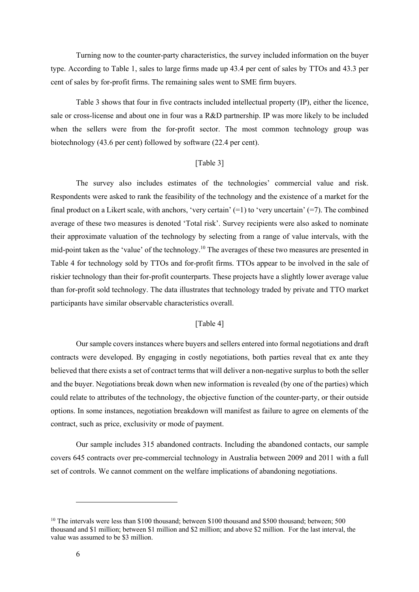Turning now to the counter-party characteristics, the survey included information on the buyer type. According to Table 1, sales to large firms made up 43.4 per cent of sales by TTOs and 43.3 per cent of sales by for-profit firms. The remaining sales went to SME firm buyers.

Table 3 shows that four in five contracts included intellectual property (IP), either the licence, sale or cross-license and about one in four was a R&D partnership. IP was more likely to be included when the sellers were from the for-profit sector. The most common technology group was biotechnology (43.6 per cent) followed by software (22.4 per cent).

#### [Table 3]

The survey also includes estimates of the technologies' commercial value and risk. Respondents were asked to rank the feasibility of the technology and the existence of a market for the final product on a Likert scale, with anchors, 'very certain'  $(=1)$  to 'very uncertain'  $(=7)$ . The combined average of these two measures is denoted 'Total risk'. Survey recipients were also asked to nominate their approximate valuation of the technology by selecting from a range of value intervals, with the mid-point taken as the 'value' of the technology.<sup>10</sup> The averages of these two measures are presented in Table 4 for technology sold by TTOs and for-profit firms. TTOs appear to be involved in the sale of riskier technology than their for-profit counterparts. These projects have a slightly lower average value than for-profit sold technology. The data illustrates that technology traded by private and TTO market participants have similar observable characteristics overall.

#### [Table 4]

Our sample covers instances where buyers and sellers entered into formal negotiations and draft contracts were developed. By engaging in costly negotiations, both parties reveal that ex ante they believed that there exists a set of contract terms that will deliver a non-negative surplus to both the seller and the buyer. Negotiations break down when new information is revealed (by one of the parties) which could relate to attributes of the technology, the objective function of the counter-party, or their outside options. In some instances, negotiation breakdown will manifest as failure to agree on elements of the contract, such as price, exclusivity or mode of payment.

Our sample includes 315 abandoned contracts. Including the abandoned contacts, our sample covers 645 contracts over pre-commercial technology in Australia between 2009 and 2011 with a full set of controls. We cannot comment on the welfare implications of abandoning negotiations.

<sup>&</sup>lt;sup>10</sup> The intervals were less than \$100 thousand; between \$100 thousand and \$500 thousand; between; 500 thousand and \$1 million; between \$1 million and \$2 million; and above \$2 million. For the last interval, the value was assumed to be \$3 million.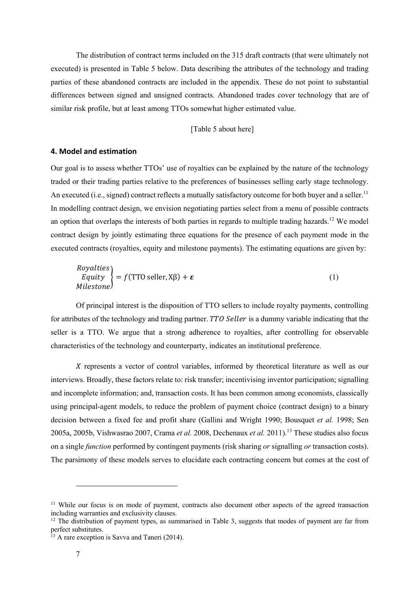The distribution of contract terms included on the 315 draft contracts (that were ultimately not executed) is presented in Table 5 below. Data describing the attributes of the technology and trading parties of these abandoned contracts are included in the appendix. These do not point to substantial differences between signed and unsigned contracts. Abandoned trades cover technology that are of similar risk profile, but at least among TTOs somewhat higher estimated value.

#### [Table 5 about here]

#### **4. Model and estimation**

Our goal is to assess whether TTOs' use of royalties can be explained by the nature of the technology traded or their trading parties relative to the preferences of businesses selling early stage technology. An executed (i.e., signed) contract reflects a mutually satisfactory outcome for both buyer and a seller.<sup>11</sup> In modelling contract design, we envision negotiating parties select from a menu of possible contracts an option that overlaps the interests of both parties in regards to multiple trading hazards.<sup>12</sup> We model contract design by jointly estimating three equations for the presence of each payment mode in the executed contracts (royalties, equity and milestone payments). The estimating equations are given by:

*Royalties*  
\n*Equity*  
\n*Milestone*  
\n
$$
f(TTO seller, Xβ) + ε
$$
\n(1)

Of principal interest is the disposition of TTO sellers to include royalty payments, controlling for attributes of the technology and trading partner. TTO Seller is a dummy variable indicating that the seller is a TTO. We argue that a strong adherence to royalties, after controlling for observable characteristics of the technology and counterparty, indicates an institutional preference.

 $X$  represents a vector of control variables, informed by theoretical literature as well as our interviews. Broadly, these factors relate to: risk transfer; incentivising inventor participation; signalling and incomplete information; and, transaction costs. It has been common among economists, classically using principal-agent models, to reduce the problem of payment choice (contract design) to a binary decision between a fixed fee and profit share (Gallini and Wright 1990; Bousquet *et al.* 1998; Sen 2005a, 2005b, Vishwasrao 2007, Crama *et al.* 2008, Dechenaux *et al.* 2011). <sup>13</sup> These studies also focus on a single *function* performed by contingent payments (risk sharing *or* signalling *or* transaction costs). The parsimony of these models serves to elucidate each contracting concern but comes at the cost of

<sup>&</sup>lt;sup>11</sup> While our focus is on mode of payment, contracts also document other aspects of the agreed transaction including warranties and exclusivity clauses.

 $12$  The distribution of payment types, as summarised in Table 3, suggests that modes of payment are far from perfect substitutes.

 $13$  A rare exception is Savva and Taneri (2014).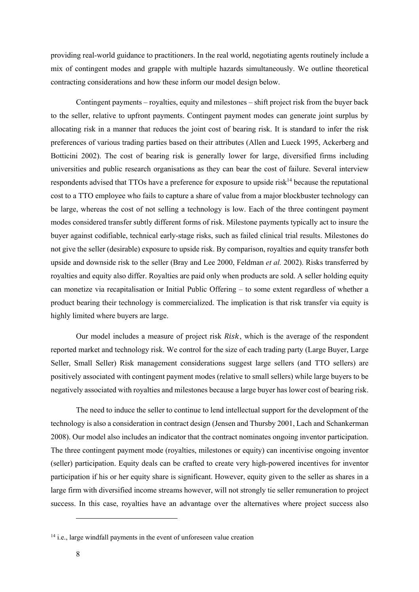providing real-world guidance to practitioners. In the real world, negotiating agents routinely include a mix of contingent modes and grapple with multiple hazards simultaneously. We outline theoretical contracting considerations and how these inform our model design below.

Contingent payments – royalties, equity and milestones – shift project risk from the buyer back to the seller, relative to upfront payments. Contingent payment modes can generate joint surplus by allocating risk in a manner that reduces the joint cost of bearing risk. It is standard to infer the risk preferences of various trading parties based on their attributes (Allen and Lueck 1995, Ackerberg and Botticini 2002). The cost of bearing risk is generally lower for large, diversified firms including universities and public research organisations as they can bear the cost of failure. Several interview respondents advised that TTOs have a preference for exposure to upside risk<sup>14</sup> because the reputational cost to a TTO employee who fails to capture a share of value from a major blockbuster technology can be large, whereas the cost of not selling a technology is low. Each of the three contingent payment modes considered transfer subtly different forms of risk. Milestone payments typically act to insure the buyer against codifiable, technical early-stage risks, such as failed clinical trial results. Milestones do not give the seller (desirable) exposure to upside risk. By comparison, royalties and equity transfer both upside and downside risk to the seller (Bray and Lee 2000, Feldman *et al.* 2002). Risks transferred by royalties and equity also differ. Royalties are paid only when products are sold. A seller holding equity can monetize via recapitalisation or Initial Public Offering – to some extent regardless of whether a product bearing their technology is commercialized. The implication is that risk transfer via equity is highly limited where buyers are large.

Our model includes a measure of project risk Risk, which is the average of the respondent reported market and technology risk. We control for the size of each trading party (Large Buyer, Large Seller, Small Seller) Risk management considerations suggest large sellers (and TTO sellers) are positively associated with contingent payment modes (relative to small sellers) while large buyers to be negatively associated with royalties and milestones because a large buyer has lower cost of bearing risk.

The need to induce the seller to continue to lend intellectual support for the development of the technology is also a consideration in contract design (Jensen and Thursby 2001, Lach and Schankerman 2008). Our model also includes an indicator that the contract nominates ongoing inventor participation. The three contingent payment mode (royalties, milestones or equity) can incentivise ongoing inventor (seller) participation. Equity deals can be crafted to create very high-powered incentives for inventor participation if his or her equity share is significant. However, equity given to the seller as shares in a large firm with diversified income streams however, will not strongly tie seller remuneration to project success. In this case, royalties have an advantage over the alternatives where project success also

<sup>&</sup>lt;sup>14</sup> i.e., large windfall payments in the event of unforeseen value creation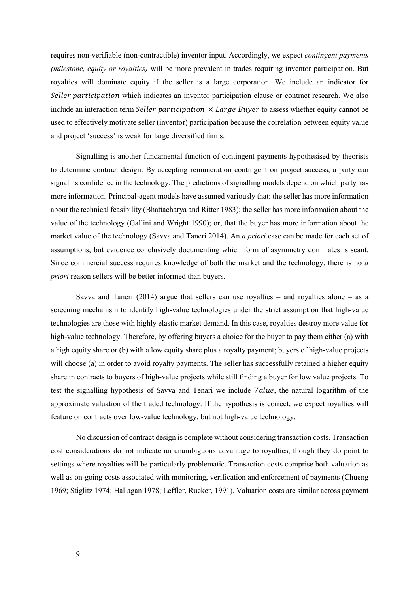requires non-verifiable (non-contractible) inventor input. Accordingly, we expect *contingent payments (milestone, equity or royalties)* will be more prevalent in trades requiring inventor participation. But royalties will dominate equity if the seller is a large corporation. We include an indicator for Seller participation which indicates an inventor participation clause or contract research. We also include an interaction term Seller participation  $\times$  Large Buyer to assess whether equity cannot be used to effectively motivate seller (inventor) participation because the correlation between equity value and project 'success' is weak for large diversified firms.

Signalling is another fundamental function of contingent payments hypothesised by theorists to determine contract design. By accepting remuneration contingent on project success, a party can signal its confidence in the technology. The predictions of signalling models depend on which party has more information. Principal-agent models have assumed variously that: the seller has more information about the technical feasibility (Bhattacharya and Ritter 1983); the seller has more information about the value of the technology (Gallini and Wright 1990); or, that the buyer has more information about the market value of the technology (Savva and Taneri 2014). An *a priori* case can be made for each set of assumptions, but evidence conclusively documenting which form of asymmetry dominates is scant. Since commercial success requires knowledge of both the market and the technology, there is no *a priori* reason sellers will be better informed than buyers.

Savva and Taneri (2014) argue that sellers can use royalties – and royalties alone – as a screening mechanism to identify high-value technologies under the strict assumption that high-value technologies are those with highly elastic market demand. In this case, royalties destroy more value for high-value technology. Therefore, by offering buyers a choice for the buyer to pay them either (a) with a high equity share or (b) with a low equity share plus a royalty payment; buyers of high-value projects will choose (a) in order to avoid royalty payments. The seller has successfully retained a higher equity share in contracts to buyers of high-value projects while still finding a buyer for low value projects. To test the signalling hypothesis of Savva and Tenari we include Value, the natural logarithm of the approximate valuation of the traded technology. If the hypothesis is correct, we expect royalties will feature on contracts over low-value technology, but not high-value technology.

No discussion of contract design is complete without considering transaction costs. Transaction cost considerations do not indicate an unambiguous advantage to royalties, though they do point to settings where royalties will be particularly problematic. Transaction costs comprise both valuation as well as on-going costs associated with monitoring, verification and enforcement of payments (Chueng 1969; Stiglitz 1974; Hallagan 1978; Leffler, Rucker, 1991). Valuation costs are similar across payment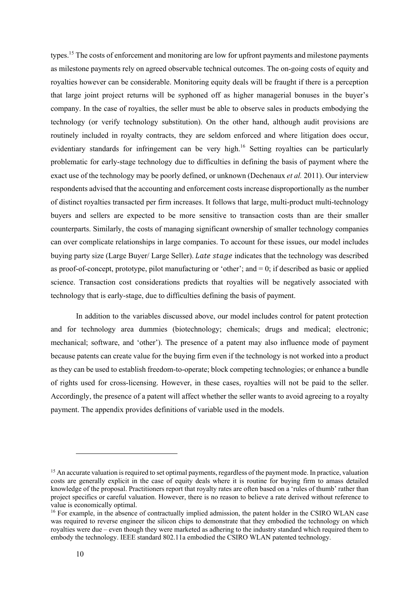types.15 The costs of enforcement and monitoring are low for upfront payments and milestone payments as milestone payments rely on agreed observable technical outcomes. The on-going costs of equity and royalties however can be considerable. Monitoring equity deals will be fraught if there is a perception that large joint project returns will be syphoned off as higher managerial bonuses in the buyer's company. In the case of royalties, the seller must be able to observe sales in products embodying the technology (or verify technology substitution). On the other hand, although audit provisions are routinely included in royalty contracts, they are seldom enforced and where litigation does occur, evidentiary standards for infringement can be very high.<sup>16</sup> Setting royalties can be particularly problematic for early-stage technology due to difficulties in defining the basis of payment where the exact use of the technology may be poorly defined, or unknown (Dechenaux *et al.* 2011). Our interview respondents advised that the accounting and enforcement costs increase disproportionally as the number of distinct royalties transacted per firm increases. It follows that large, multi-product multi-technology buyers and sellers are expected to be more sensitive to transaction costs than are their smaller counterparts. Similarly, the costs of managing significant ownership of smaller technology companies can over complicate relationships in large companies. To account for these issues, our model includes buying party size (Large Buyer/ Large Seller). Late stage indicates that the technology was described as proof-of-concept, prototype, pilot manufacturing or 'other'; and  $= 0$ ; if described as basic or applied science. Transaction cost considerations predicts that royalties will be negatively associated with technology that is early-stage, due to difficulties defining the basis of payment.

In addition to the variables discussed above, our model includes control for patent protection and for technology area dummies (biotechnology; chemicals; drugs and medical; electronic; mechanical; software, and 'other'). The presence of a patent may also influence mode of payment because patents can create value for the buying firm even if the technology is not worked into a product as they can be used to establish freedom-to-operate; block competing technologies; or enhance a bundle of rights used for cross-licensing. However, in these cases, royalties will not be paid to the seller. Accordingly, the presence of a patent will affect whether the seller wants to avoid agreeing to a royalty payment. The appendix provides definitions of variable used in the models.

<sup>&</sup>lt;sup>15</sup> An accurate valuation is required to set optimal payments, regardless of the payment mode. In practice, valuation costs are generally explicit in the case of equity deals where it is routine for buying firm to amass detailed knowledge of the proposal. Practitioners report that royalty rates are often based on a 'rules of thumb' rather than project specifics or careful valuation. However, there is no reason to believe a rate derived without reference to value is economically optimal.

<sup>&</sup>lt;sup>16</sup> For example, in the absence of contractually implied admission, the patent holder in the CSIRO WLAN case was required to reverse engineer the silicon chips to demonstrate that they embodied the technology on which royalties were due – even though they were marketed as adhering to the industry standard which required them to embody the technology. IEEE standard 802.11a embodied the CSIRO WLAN patented technology.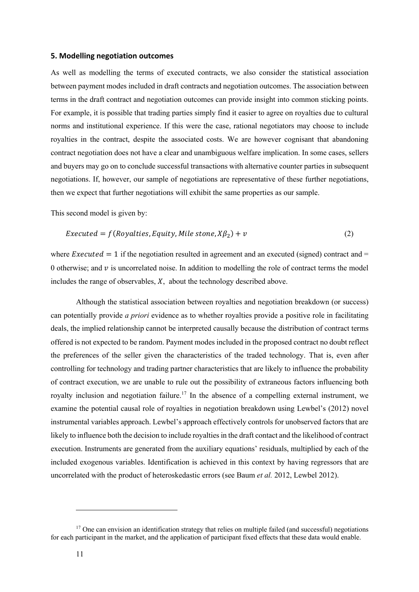#### **5. Modelling negotiation outcomes**

As well as modelling the terms of executed contracts, we also consider the statistical association between payment modes included in draft contracts and negotiation outcomes. The association between terms in the draft contract and negotiation outcomes can provide insight into common sticking points. For example, it is possible that trading parties simply find it easier to agree on royalties due to cultural norms and institutional experience. If this were the case, rational negotiators may choose to include royalties in the contract, despite the associated costs. We are however cognisant that abandoning contract negotiation does not have a clear and unambiguous welfare implication. In some cases, sellers and buyers may go on to conclude successful transactions with alternative counter parties in subsequent negotiations. If, however, our sample of negotiations are representative of these further negotiations, then we expect that further negotiations will exhibit the same properties as our sample.

This second model is given by:

$$
Executed = f(Royalties, Equity, Mile stone, X\beta_2) + v \tag{2}
$$

where  $Executed = 1$  if the negotiation resulted in agreement and an executed (signed) contract and = 0 otherwise; and  $\nu$  is uncorrelated noise. In addition to modelling the role of contract terms the model includes the range of observables,  $X$ , about the technology described above.

Although the statistical association between royalties and negotiation breakdown (or success) can potentially provide *a priori* evidence as to whether royalties provide a positive role in facilitating deals, the implied relationship cannot be interpreted causally because the distribution of contract terms offered is not expected to be random. Payment modes included in the proposed contract no doubt reflect the preferences of the seller given the characteristics of the traded technology. That is, even after controlling for technology and trading partner characteristics that are likely to influence the probability of contract execution, we are unable to rule out the possibility of extraneous factors influencing both royalty inclusion and negotiation failure.<sup>17</sup> In the absence of a compelling external instrument, we examine the potential causal role of royalties in negotiation breakdown using Lewbel's (2012) novel instrumental variables approach. Lewbel's approach effectively controls for unobserved factors that are likely to influence both the decision to include royalties in the draft contact and the likelihood of contract execution. Instruments are generated from the auxiliary equations' residuals, multiplied by each of the included exogenous variables. Identification is achieved in this context by having regressors that are uncorrelated with the product of heteroskedastic errors (see Baum *et al.* 2012, Lewbel 2012).

<sup>&</sup>lt;sup>17</sup> One can envision an identification strategy that relies on multiple failed (and successful) negotiations for each participant in the market, and the application of participant fixed effects that these data would enable.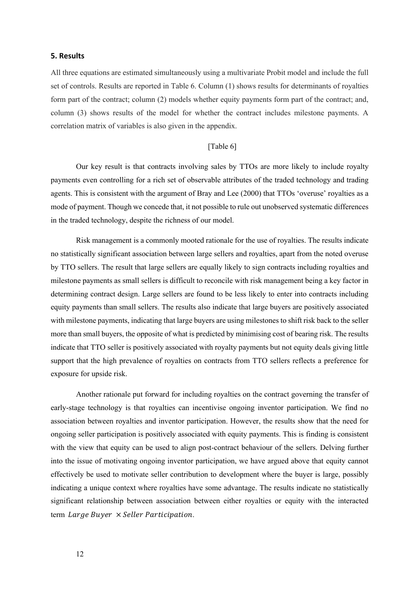#### **5. Results**

All three equations are estimated simultaneously using a multivariate Probit model and include the full set of controls. Results are reported in Table 6. Column (1) shows results for determinants of royalties form part of the contract; column (2) models whether equity payments form part of the contract; and, column (3) shows results of the model for whether the contract includes milestone payments. A correlation matrix of variables is also given in the appendix.

#### [Table 6]

Our key result is that contracts involving sales by TTOs are more likely to include royalty payments even controlling for a rich set of observable attributes of the traded technology and trading agents. This is consistent with the argument of Bray and Lee (2000) that TTOs 'overuse' royalties as a mode of payment. Though we concede that, it not possible to rule out unobserved systematic differences in the traded technology, despite the richness of our model.

Risk management is a commonly mooted rationale for the use of royalties. The results indicate no statistically significant association between large sellers and royalties, apart from the noted overuse by TTO sellers. The result that large sellers are equally likely to sign contracts including royalties and milestone payments as small sellers is difficult to reconcile with risk management being a key factor in determining contract design. Large sellers are found to be less likely to enter into contracts including equity payments than small sellers. The results also indicate that large buyers are positively associated with milestone payments, indicating that large buyers are using milestones to shift risk back to the seller more than small buyers, the opposite of what is predicted by minimising cost of bearing risk. The results indicate that TTO seller is positively associated with royalty payments but not equity deals giving little support that the high prevalence of royalties on contracts from TTO sellers reflects a preference for exposure for upside risk.

Another rationale put forward for including royalties on the contract governing the transfer of early-stage technology is that royalties can incentivise ongoing inventor participation. We find no association between royalties and inventor participation. However, the results show that the need for ongoing seller participation is positively associated with equity payments. This is finding is consistent with the view that equity can be used to align post-contract behaviour of the sellers. Delving further into the issue of motivating ongoing inventor participation, we have argued above that equity cannot effectively be used to motivate seller contribution to development where the buyer is large, possibly indicating a unique context where royalties have some advantage. The results indicate no statistically significant relationship between association between either royalties or equity with the interacted term Large Buyer  $\times$  Seller Participation.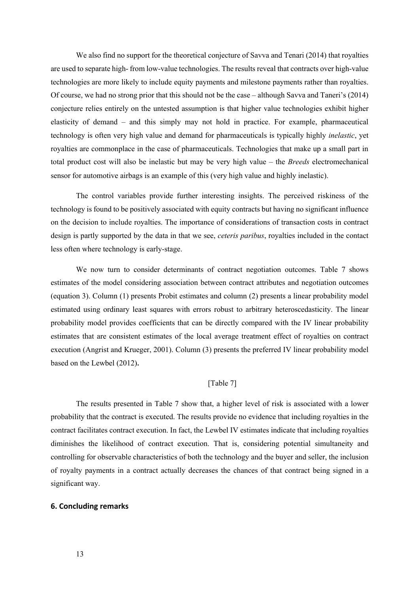We also find no support for the theoretical conjecture of Savva and Tenari (2014) that royalties are used to separate high- from low-value technologies. The results reveal that contracts over high-value technologies are more likely to include equity payments and milestone payments rather than royalties. Of course, we had no strong prior that this should not be the case – although Savva and Taneri's (2014) conjecture relies entirely on the untested assumption is that higher value technologies exhibit higher elasticity of demand – and this simply may not hold in practice. For example, pharmaceutical technology is often very high value and demand for pharmaceuticals is typically highly *inelastic*, yet royalties are commonplace in the case of pharmaceuticals. Technologies that make up a small part in total product cost will also be inelastic but may be very high value – the *Breeds* electromechanical sensor for automotive airbags is an example of this (very high value and highly inelastic).

The control variables provide further interesting insights. The perceived riskiness of the technology is found to be positively associated with equity contracts but having no significant influence on the decision to include royalties. The importance of considerations of transaction costs in contract design is partly supported by the data in that we see, *ceteris paribus*, royalties included in the contact less often where technology is early-stage.

We now turn to consider determinants of contract negotiation outcomes. Table 7 shows estimates of the model considering association between contract attributes and negotiation outcomes (equation 3). Column (1) presents Probit estimates and column (2) presents a linear probability model estimated using ordinary least squares with errors robust to arbitrary heteroscedasticity. The linear probability model provides coefficients that can be directly compared with the IV linear probability estimates that are consistent estimates of the local average treatment effect of royalties on contract execution (Angrist and Krueger, 2001). Column (3) presents the preferred IV linear probability model based on the Lewbel (2012)**.**

#### [Table 7]

The results presented in Table 7 show that, a higher level of risk is associated with a lower probability that the contract is executed. The results provide no evidence that including royalties in the contract facilitates contract execution. In fact, the Lewbel IV estimates indicate that including royalties diminishes the likelihood of contract execution. That is, considering potential simultaneity and controlling for observable characteristics of both the technology and the buyer and seller, the inclusion of royalty payments in a contract actually decreases the chances of that contract being signed in a significant way.

#### **6. Concluding remarks**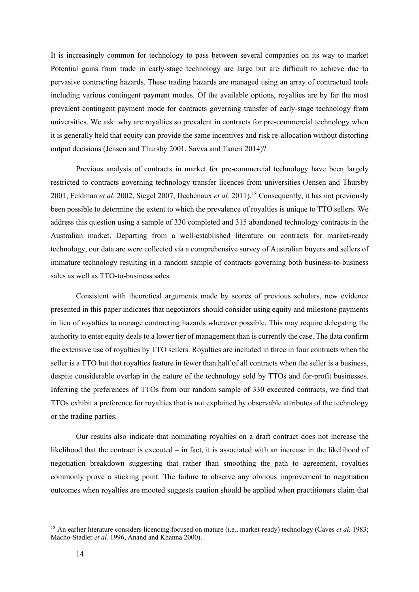It is increasingly common for technology to pass between several companies on its way to market Potential gains from trade in early-stage technology are large but are difficult to achieve due to pervasive contracting hazards. These trading hazards are managed using an array of contractual tools including various contingent payment modes. Of the available options, royalties are by far the most prevalent contingent payment mode for contracts governing transfer of early-stage technology from universities. We ask: why are royalties so prevalent in contracts for pre-commercial technology when it is generally held that equity can provide the same incentives and risk re-allocation without distorting output decisions (Jensen and Thursby 2001, Savva and Taneri 2014)?

Previous analysis of contracts in market for pre-commercial technology have been largely restricted to contracts governing technology transfer licences from universities (Jensen and Thursby 2001, Feldman *et al.* 2002, Siegel 2007, Dechenaux *et al.* 2011).<sup>18</sup> Consequently, it has not previously been possible to determine the extent to which the prevalence of royalties is unique to TTO sellers. We address this question using a sample of 330 completed and 315 abandoned technology contracts in the Australian market. Departing from a well-established literature on contracts for market-ready technology, our data are were collected via a comprehensive survey of Australian buyers and sellers of immature technology resulting in a random sample of contracts governing both business-to-business sales as well as TTO-to-business sales.

Consistent with theoretical arguments made by scores of previous scholars, new evidence presented in this paper indicates that negotiators should consider using equity and milestone payments in lieu of royalties to manage contracting hazards wherever possible. This may require delegating the authority to enter equity deals to a lower tier of management than is currently the case. The data confirm the extensive use of royalties by TTO sellers. Royalties are included in three in four contracts when the seller is a TTO but that royalties feature in fewer than half of all contracts when the seller is a business, despite considerable overlap in the nature of the technology sold by TTOs and for-profit businesses. Inferring the preferences of TTOs from our random sample of 330 executed contracts, we find that TTOs exhibit a preference for royalties that is not explained by observable attributes of the technology or the trading parties.

Our results also indicate that nominating royalties on a draft contract does not increase the likelihood that the contract is executed – in fact, it is associated with an increase in the likelihood of negotiation breakdown suggesting that rather than smoothing the path to agreement, royalties commonly prove a sticking point. The failure to observe any obvious improvement to negotiation outcomes when royalties are mooted suggests caution should be applied when practitioners claim that

<sup>&</sup>lt;sup>18</sup> An earlier literature considers licencing focused on mature (i.e., market-ready) technology (Caves *et al.* 1983; Macho-Stadler *et al.* 1996, Anand and Khanna 2000).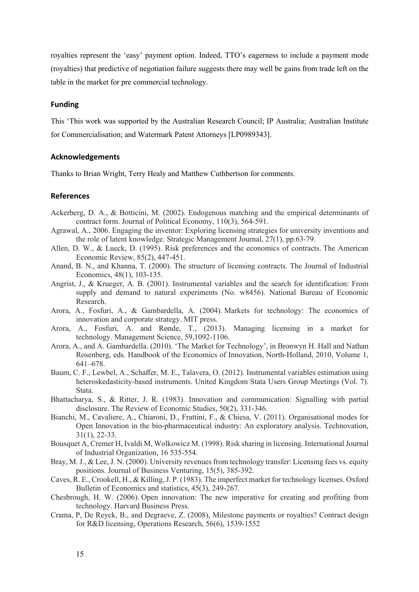royalties represent the 'easy' payment option. Indeed, TTO's eagerness to include a payment mode (royalties) that predictive of negotiation failure suggests there may well be gains from trade left on the table in the market for pre commercial technology.

#### **Funding**

This 'This work was supported by the Australian Research Council; IP Australia; Australian Institute for Commercialisation; and Watermark Patent Attorneys [LP0989343].

#### **Acknowledgements**

Thanks to Brian Wright, Terry Healy and Matthew Cuthbertson for comments.

#### **References**

- Ackerberg, D. A., & Botticini, M. (2002). Endogenous matching and the empirical determinants of contract form. Journal of Political Economy, 110(3), 564-591.
- Agrawal, A., 2006. Engaging the inventor: Exploring licensing strategies for university inventions and the role of latent knowledge. Strategic Management Journal, 27(1), pp.63-79.
- Allen, D. W., & Lueck, D. (1995). Risk preferences and the economics of contracts. The American Economic Review, 85(2), 447-451.
- Anand, B. N., and Khanna, T. (2000). The structure of licensing contracts. The Journal of Industrial Economics, 48(1), 103-135.
- Angrist, J., & Krueger, A. B. (2001). Instrumental variables and the search for identification: From supply and demand to natural experiments (No. w8456). National Bureau of Economic Research.
- Arora, A., Fosfuri, A., & Gambardella, A. (2004). Markets for technology: The economics of innovation and corporate strategy. MIT press.
- Arora, A., Fosfuri, A. and Rønde, T., (2013). Managing licensing in a market for technology. Management Science, 59,1092-1106.
- Arora, A., and A. Gambardella. (2010). 'The Market for Technology', in Bronwyn H. Hall and Nathan Rosenberg, eds. Handbook of the Economics of Innovation, North-Holland, 2010, Volume 1, 641–678.
- Baum, C. F., Lewbel, A., Schaffer, M. E., Talavera, O. (2012). Instrumental variables estimation using heteroskedasticity-based instruments. United Kingdom Stata Users Group Meetings (Vol. 7). Stata.
- Bhattacharya, S., & Ritter, J. R. (1983). Innovation and communication: Signalling with partial disclosure. The Review of Economic Studies, 50(2), 331-346.
- Bianchi, M., Cavaliere, A., Chiaroni, D., Frattini, F., & Chiesa, V. (2011). Organisational modes for Open Innovation in the bio-pharmaceutical industry: An exploratory analysis. Technovation, 31(1), 22-33.
- Bousquet A, Cremer H, Ivaldi M, Wolkowicz M. (1998). Risk sharing in licensing. International Journal of Industrial Organization, 16 535-554.
- Bray, M. J., & Lee, J. N. (2000). University revenues from technology transfer: Licensing fees vs. equity positions. Journal of Business Venturing, 15(5), 385-392.
- Caves, R. E., Crookell, H., & Killing, J. P. (1983). The imperfect market for technology licenses. Oxford Bulletin of Economics and statistics, 45(3), 249-267.
- Chesbrough, H. W. (2006). Open innovation: The new imperative for creating and profiting from technology. Harvard Business Press.
- Crama, P, De Reyck, B., and Degraeve, Z. (2008), Milestone payments or royalties? Contract design for R&D licensing, Operations Research, 56(6), 1539-1552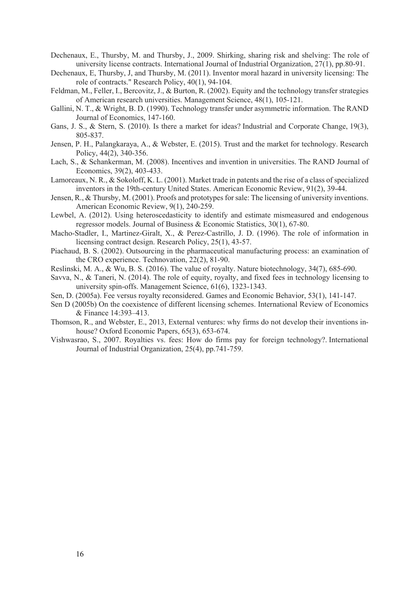- Dechenaux, E., Thursby, M. and Thursby, J., 2009. Shirking, sharing risk and shelving: The role of university license contracts. International Journal of Industrial Organization, 27(1), pp.80-91.
- Dechenaux, E, Thursby, J, and Thursby, M. (2011). Inventor moral hazard in university licensing: The role of contracts." Research Policy, 40(1), 94-104.
- Feldman, M., Feller, I., Bercovitz, J., & Burton, R. (2002). Equity and the technology transfer strategies of American research universities. Management Science, 48(1), 105-121.
- Gallini, N. T., & Wright, B. D. (1990). Technology transfer under asymmetric information. The RAND Journal of Economics, 147-160.
- Gans, J. S., & Stern, S. (2010). Is there a market for ideas? Industrial and Corporate Change, 19(3), 805-837.
- Jensen, P. H., Palangkaraya, A., & Webster, E. (2015). Trust and the market for technology. Research Policy, 44(2), 340-356.
- Lach, S., & Schankerman, M. (2008). Incentives and invention in universities. The RAND Journal of Economics, 39(2), 403-433.
- Lamoreaux, N. R., & Sokoloff, K. L. (2001). Market trade in patents and the rise of a class of specialized inventors in the 19th-century United States. American Economic Review, 91(2), 39-44.
- Jensen, R., & Thursby, M. (2001). Proofs and prototypes for sale: The licensing of university inventions. American Economic Review, 9(1), 240-259.
- Lewbel, A. (2012). Using heteroscedasticity to identify and estimate mismeasured and endogenous regressor models. Journal of Business & Economic Statistics, 30(1), 67-80.
- Macho-Stadler, I., Martinez-Giralt, X., & Perez-Castrillo, J. D. (1996). The role of information in licensing contract design. Research Policy, 25(1), 43-57.
- Piachaud, B. S. (2002). Outsourcing in the pharmaceutical manufacturing process: an examination of the CRO experience. Technovation, 22(2), 81-90.
- Reslinski, M. A., & Wu, B. S. (2016). The value of royalty. Nature biotechnology, 34(7), 685-690.
- Savva, N., & Taneri, N. (2014). The role of equity, royalty, and fixed fees in technology licensing to university spin-offs. Management Science, 61(6), 1323-1343.
- Sen, D. (2005a). Fee versus royalty reconsidered. Games and Economic Behavior, 53(1), 141-147.
- Sen D (2005b) On the coexistence of different licensing schemes. International Review of Economics & Finance 14:393–413.
- Thomson, R., and Webster, E., 2013, External ventures: why firms do not develop their inventions inhouse? Oxford Economic Papers, 65(3), 653-674.
- Vishwasrao, S., 2007. Royalties vs. fees: How do firms pay for foreign technology?. International Journal of Industrial Organization, 25(4), pp.741-759.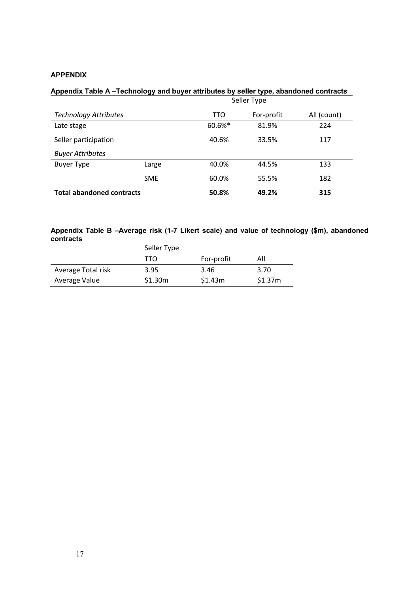#### **APPENDIX**

#### **Appendix Table A –Technology and buyer attributes by seller type, abandoned contracts**

|                                  |            | Seller Type |            |             |  |
|----------------------------------|------------|-------------|------------|-------------|--|
| <b>Technology Attributes</b>     |            | <b>TTO</b>  | For-profit | All (count) |  |
| Late stage                       |            | 60.6%*      | 81.9%      | 224         |  |
| Seller participation             |            | 40.6%       | 33.5%      | 117         |  |
| <b>Buyer Attributes</b>          |            |             |            |             |  |
| Buyer Type                       | Large      | 40.0%       | 44.5%      | 133         |  |
|                                  | <b>SME</b> | 60.0%       | 55.5%      | 182         |  |
| <b>Total abandoned contracts</b> | 50.8%      | 49.2%       | 315        |             |  |

#### **Appendix Table B –Average risk (1-7 Likert scale) and value of technology (\$m), abandoned contracts**  $\overline{\phantom{a}}$

|                    | Seller Type |            |         |
|--------------------|-------------|------------|---------|
|                    | TTN         | For-profit | All     |
| Average Total risk | 3.95        | 3.46       | 3.70    |
| Average Value      | \$1.30m     | \$1.43m    | \$1.37m |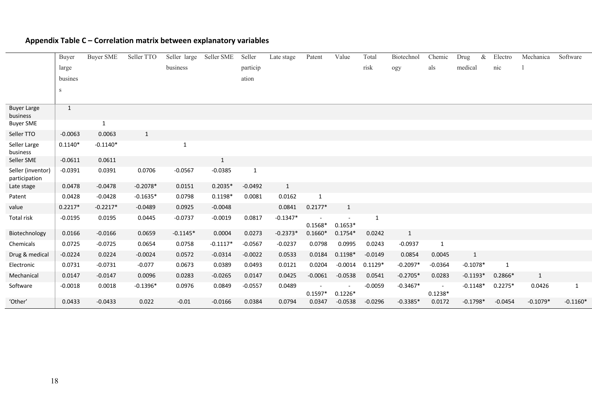|                                    | Buyer        | <b>Buyer SME</b> | Seller TTO   | Seller large | Seller SME   | Seller       | Late stage   | Patent    | Value        | Total        | Biotechnol | Chemic       | Drug       | & | Electro   | Mechanica    | Software   |
|------------------------------------|--------------|------------------|--------------|--------------|--------------|--------------|--------------|-----------|--------------|--------------|------------|--------------|------------|---|-----------|--------------|------------|
|                                    | large        |                  |              | business     |              | particip     |              |           |              | risk         | ogy        | als          | medical    |   | nic       |              |            |
|                                    | busines      |                  |              |              |              | ation        |              |           |              |              |            |              |            |   |           |              |            |
|                                    | S            |                  |              |              |              |              |              |           |              |              |            |              |            |   |           |              |            |
|                                    |              |                  |              |              |              |              |              |           |              |              |            |              |            |   |           |              |            |
| <b>Buyer Large</b><br>business     | $\mathbf{1}$ |                  |              |              |              |              |              |           |              |              |            |              |            |   |           |              |            |
| <b>Buyer SME</b>                   |              | $\mathbf{1}$     |              |              |              |              |              |           |              |              |            |              |            |   |           |              |            |
| Seller TTO                         | $-0.0063$    | 0.0063           | $\mathbf{1}$ |              |              |              |              |           |              |              |            |              |            |   |           |              |            |
| Seller Large<br>business           | $0.1140*$    | $-0.1140*$       |              | $\mathbf{1}$ |              |              |              |           |              |              |            |              |            |   |           |              |            |
| Seller SME                         | $-0.0611$    | 0.0611           |              |              | $\mathbf{1}$ |              |              |           |              |              |            |              |            |   |           |              |            |
| Seller (inventor)<br>participation | $-0.0391$    | 0.0391           | 0.0706       | $-0.0567$    | $-0.0385$    | $\mathbf{1}$ |              |           |              |              |            |              |            |   |           |              |            |
| Late stage                         | 0.0478       | $-0.0478$        | $-0.2078*$   | 0.0151       | $0.2035*$    | $-0.0492$    | $\mathbf{1}$ |           |              |              |            |              |            |   |           |              |            |
| Patent                             | 0.0428       | $-0.0428$        | $-0.1635*$   | 0.0798       | $0.1198*$    | 0.0081       | 0.0162       | 1         |              |              |            |              |            |   |           |              |            |
| value                              | $0.2217*$    | $-0.2217*$       | $-0.0489$    | 0.0925       | $-0.0048$    |              | 0.0841       | $0.2177*$ | $\mathbf{1}$ |              |            |              |            |   |           |              |            |
| Total risk                         | $-0.0195$    | 0.0195           | 0.0445       | $-0.0737$    | $-0.0019$    | 0.0817       | $-0.1347*$   | $0.1568*$ | $0.1653*$    | $\mathbf{1}$ |            |              |            |   |           |              |            |
| Biotechnology                      | 0.0166       | $-0.0166$        | 0.0659       | $-0.1145*$   | 0.0004       | 0.0273       | $-0.2373*$   | $0.1660*$ | $0.1754*$    | 0.0242       | 1          |              |            |   |           |              |            |
| Chemicals                          | 0.0725       | $-0.0725$        | 0.0654       | 0.0758       | $-0.1117*$   | $-0.0567$    | $-0.0237$    | 0.0798    | 0.0995       | 0.0243       | $-0.0937$  | $\mathbf{1}$ |            |   |           |              |            |
| Drug & medical                     | $-0.0224$    | 0.0224           | $-0.0024$    | 0.0572       | $-0.0314$    | $-0.0022$    | 0.0533       | 0.0184    | $0.1198*$    | $-0.0149$    | 0.0854     | 0.0045       | 1          |   |           |              |            |
| Electronic                         | 0.0731       | $-0.0731$        | $-0.077$     | 0.0673       | 0.0389       | 0.0493       | 0.0121       | 0.0204    | $-0.0014$    | $0.1129*$    | $-0.2097*$ | $-0.0364$    | $-0.1078*$ |   | 1         |              |            |
| Mechanical                         | 0.0147       | $-0.0147$        | 0.0096       | 0.0283       | $-0.0265$    | 0.0147       | 0.0425       | $-0.0061$ | $-0.0538$    | 0.0541       | $-0.2705*$ | 0.0283       | $-0.1193*$ |   | $0.2866*$ | $\mathbf{1}$ |            |
| Software                           | $-0.0018$    | 0.0018           | $-0.1396*$   | 0.0976       | 0.0849       | $-0.0557$    | 0.0489       | $0.1597*$ | $0.1226*$    | $-0.0059$    | $-0.3467*$ | $0.1238*$    | $-0.1148*$ |   | $0.2275*$ | 0.0426       | 1          |
| 'Other'                            | 0.0433       | $-0.0433$        | 0.022        | $-0.01$      | $-0.0166$    | 0.0384       | 0.0794       | 0.0347    | $-0.0538$    | $-0.0296$    | $-0.3385*$ | 0.0172       | $-0.1798*$ |   | $-0.0454$ | $-0.1079*$   | $-0.1160*$ |

### **Appendix Table C – Correlation matrix between explanatory variables**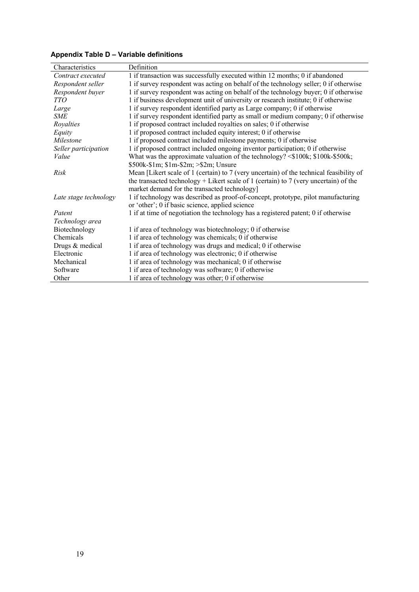### **Appendix Table D – Variable definitions**

| Definition                                                                              |
|-----------------------------------------------------------------------------------------|
| 1 if transaction was successfully executed within 12 months; 0 if abandoned             |
| 1 if survey respondent was acting on behalf of the technology seller; 0 if otherwise    |
| 1 if survey respondent was acting on behalf of the technology buyer; 0 if otherwise     |
|                                                                                         |
| 1 if business development unit of university or research institute; 0 if otherwise      |
| 1 if survey respondent identified party as Large company; 0 if otherwise                |
| 1 if survey respondent identified party as small or medium company; 0 if otherwise      |
| 1 if proposed contract included royalties on sales; 0 if otherwise                      |
| 1 if proposed contract included equity interest; 0 if otherwise                         |
| 1 if proposed contract included milestone payments; 0 if otherwise                      |
| 1 if proposed contract included ongoing inventor participation; 0 if otherwise          |
| What was the approximate valuation of the technology? <\$100k; \$100k-\$500k;           |
| $$500k-S1m; $1m-S2m; > $2m;$ Unsure                                                     |
| Mean [Likert scale of 1 (certain) to 7 (very uncertain) of the technical feasibility of |
| the transacted technology + Likert scale of 1 (certain) to 7 (very uncertain) of the    |
| market demand for the transacted technology]                                            |
| 1 if technology was described as proof-of-concept, prototype, pilot manufacturing       |
| or 'other'; 0 if basic science, applied science                                         |
| 1 if at time of negotiation the technology has a registered patent; 0 if otherwise      |
|                                                                                         |
| 1 if area of technology was biotechnology; 0 if otherwise                               |
| 1 if area of technology was chemicals; 0 if otherwise                                   |
| 1 if area of technology was drugs and medical; 0 if otherwise                           |
| 1 if area of technology was electronic; 0 if otherwise                                  |
| 1 if area of technology was mechanical; 0 if otherwise                                  |
| 1 if area of technology was software; 0 if otherwise                                    |
| 1 if area of technology was other; 0 if otherwise                                       |
|                                                                                         |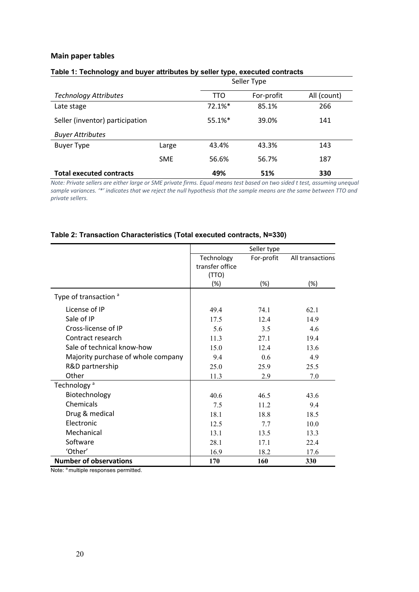#### **Main paper tables**

|                                 | Seller Type |            |            |             |  |
|---------------------------------|-------------|------------|------------|-------------|--|
| <b>Technology Attributes</b>    |             | <b>TTO</b> | For-profit | All (count) |  |
| Late stage                      |             | 72.1%*     | 85.1%      | 266         |  |
| Seller (inventor) participation |             | $55.1%$ *  | 39.0%      | 141         |  |
| <b>Buyer Attributes</b>         |             |            |            |             |  |
| <b>Buyer Type</b>               | Large       | 43.4%      | 43.3%      | 143         |  |
|                                 | <b>SME</b>  | 56.6%      | 56.7%      | 187         |  |
| <b>Total executed contracts</b> |             | 49%        | 51%        | 330         |  |

#### **Table 1: Technology and buyer attributes by seller type, executed contracts**

*Note: Private sellers are either large or SME private firms. Equal means test based on two sided t test, assuming unequal sample variances. '\*' indicates that we reject the null hypothesis that the sample means are the same between TTO and private sellers.*

#### **Table 2: Transaction Characteristics (Total executed contracts, N=330)**

|                                    |                 | Seller type |                  |  |
|------------------------------------|-----------------|-------------|------------------|--|
|                                    | Technology      | For-profit  | All transactions |  |
|                                    | transfer office |             |                  |  |
|                                    | (TTO)           |             |                  |  |
|                                    | (%)             | $(\%)$      | (%)              |  |
| Type of transaction <sup>a</sup>   |                 |             |                  |  |
| License of IP                      | 49.4            | 74.1        | 62.1             |  |
| Sale of IP                         | 17.5            | 12.4        | 14.9             |  |
| Cross-license of IP                | 5.6             | 3.5         | 4.6              |  |
| Contract research                  | 11.3            | 27.1        | 19.4             |  |
| Sale of technical know-how         | 15.0            | 12.4        | 13.6             |  |
| Majority purchase of whole company | 9.4             | 0.6         | 4.9              |  |
| R&D partnership                    | 25.0            | 25.9        | 25.5             |  |
| Other                              | 11.3            | 2.9         | 7.0              |  |
| Technology <sup>a</sup>            |                 |             |                  |  |
| Biotechnology                      | 40.6            | 46.5        | 43.6             |  |
| Chemicals                          | 7.5             | 11.2        | 9.4              |  |
| Drug & medical                     | 18.1            | 18.8        | 18.5             |  |
| Electronic                         | 12.5            | 7.7         | 10.0             |  |
| Mechanical                         | 13.1            | 13.5        | 13.3             |  |
| Software                           | 28.1            | 17.1        | 22.4             |  |
| 'Other'                            | 16.9            | 18.2        | 17.6             |  |
| <b>Number of observations</b>      | 170             | 160         | 330              |  |

Note: <sup>a</sup> multiple responses permitted.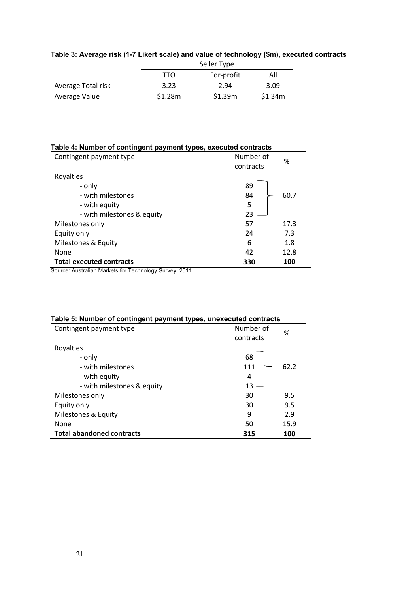|                    | Seller Type |         |         |  |  |  |
|--------------------|-------------|---------|---------|--|--|--|
|                    | All         |         |         |  |  |  |
| Average Total risk | 3.23        | 2.94    | 3.09    |  |  |  |
| Average Value      | \$1.28m     | \$1.39m | \$1.34m |  |  |  |

## **Table 3: Average risk (1-7 Likert scale) and value of technology (\$m), executed contracts**

#### **Table 4: Number of contingent payment types, executed contracts**

| Contingent payment type         | Number of<br>contracts | %    |
|---------------------------------|------------------------|------|
| Royalties                       |                        |      |
| - only                          | 89                     |      |
| - with milestones               | 84                     | 60.7 |
| - with equity                   | 5                      |      |
| - with milestones & equity      | 23                     |      |
| Milestones only                 | 57                     | 17.3 |
| Equity only                     | 24                     | 7.3  |
| Milestones & Equity             | 6                      | 1.8  |
| None                            | 42                     | 12.8 |
| <b>Total executed contracts</b> | 330                    | 100  |

Source: Australian Markets for Technology Survey, 2011.

| Table 5: Number of contingent payment types, unexecuted contracts |           |      |  |  |  |
|-------------------------------------------------------------------|-----------|------|--|--|--|
| Contingent payment type                                           | Number of | %    |  |  |  |
|                                                                   | contracts |      |  |  |  |
| Royalties                                                         |           |      |  |  |  |
| - only                                                            | 68        |      |  |  |  |
| - with milestones                                                 | 111       | 62.2 |  |  |  |
| - with equity                                                     | 4         |      |  |  |  |
| - with milestones & equity                                        | 13        |      |  |  |  |
| Milestones only                                                   | 30        | 9.5  |  |  |  |
| Equity only                                                       | 30        | 9.5  |  |  |  |
| Milestones & Equity                                               | 9         | 2.9  |  |  |  |
| None                                                              | 50        | 15.9 |  |  |  |
| <b>Total abandoned contracts</b>                                  | 315       | 100  |  |  |  |

#### **Table 5: Number of contingent payment types, unexecuted contracts**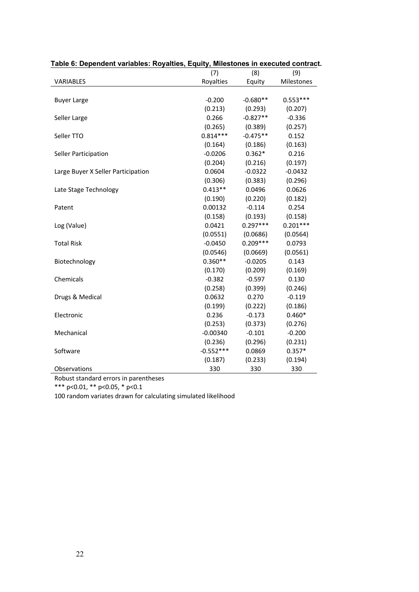|                                    | (7)         | (8)        | (9)        |
|------------------------------------|-------------|------------|------------|
| VARIABLES                          | Royalties   | Equity     | Milestones |
|                                    |             |            |            |
| <b>Buyer Large</b>                 | $-0.200$    | $-0.680**$ | $0.553***$ |
|                                    | (0.213)     | (0.293)    | (0.207)    |
| Seller Large                       | 0.266       | $-0.827**$ | $-0.336$   |
|                                    | (0.265)     | (0.389)    | (0.257)    |
| Seller TTO                         | $0.814***$  | $-0.475**$ | 0.152      |
|                                    | (0.164)     | (0.186)    | (0.163)    |
| Seller Participation               | $-0.0206$   | $0.362*$   | 0.216      |
|                                    | (0.204)     | (0.216)    | (0.197)    |
| Large Buyer X Seller Participation | 0.0604      | $-0.0322$  | $-0.0432$  |
|                                    | (0.306)     | (0.383)    | (0.296)    |
| Late Stage Technology              | $0.413**$   | 0.0496     | 0.0626     |
|                                    | (0.190)     | (0.220)    | (0.182)    |
| Patent                             | 0.00132     | $-0.114$   | 0.254      |
|                                    | (0.158)     | (0.193)    | (0.158)    |
| Log (Value)                        | 0.0421      | $0.297***$ | $0.201***$ |
|                                    | (0.0551)    | (0.0686)   | (0.0564)   |
| <b>Total Risk</b>                  | $-0.0450$   | $0.209***$ | 0.0793     |
|                                    | (0.0546)    | (0.0669)   | (0.0561)   |
| Biotechnology                      | $0.360**$   | $-0.0205$  | 0.143      |
|                                    | (0.170)     | (0.209)    | (0.169)    |
| Chemicals                          | $-0.382$    | $-0.597$   | 0.130      |
|                                    | (0.258)     | (0.399)    | (0.246)    |
| Drugs & Medical                    | 0.0632      | 0.270      | $-0.119$   |
|                                    | (0.199)     | (0.222)    | (0.186)    |
| Electronic                         | 0.236       | $-0.173$   | $0.460*$   |
|                                    | (0.253)     | (0.373)    | (0.276)    |
| Mechanical                         | $-0.00340$  | $-0.101$   | $-0.200$   |
|                                    | (0.236)     | (0.296)    | (0.231)    |
| Software                           | $-0.552***$ | 0.0869     | $0.357*$   |
|                                    | (0.187)     | (0.233)    | (0.194)    |
| Observations                       | 330         | 330        | 330        |

#### **Table 6: Dependent variables: Royalties, Equity, Milestones in executed contract.**

Robust standard errors in parentheses

\*\*\* p<0.01, \*\* p<0.05, \* p<0.1

100 random variates drawn for calculating simulated likelihood